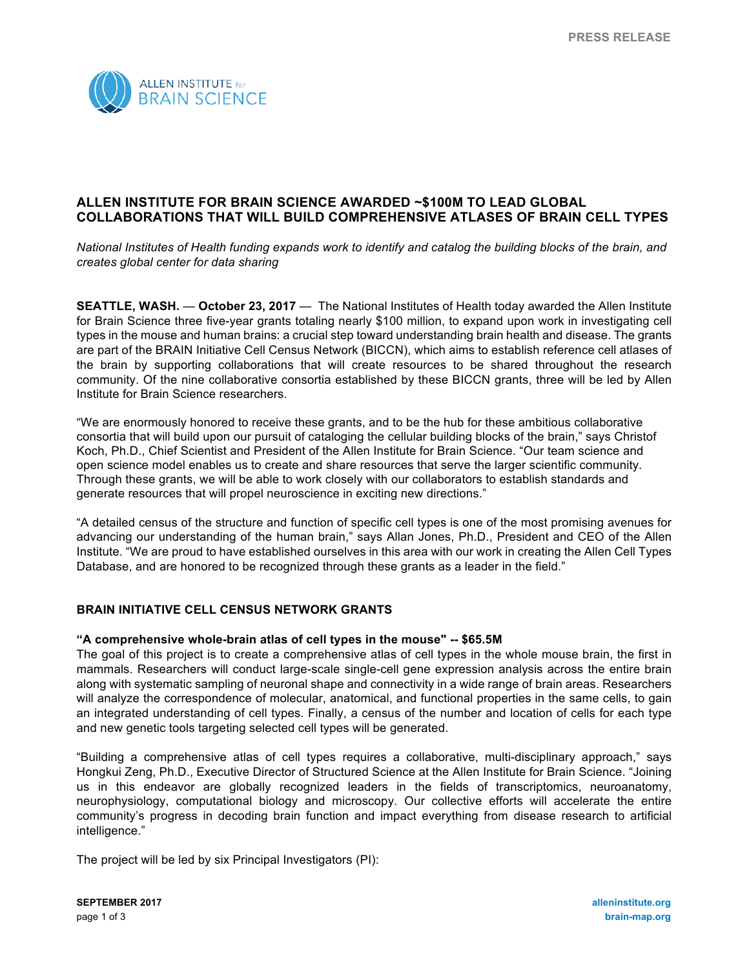

# **ALLEN INSTITUTE FOR BRAIN SCIENCE AWARDED ~\$100M TO LEAD GLOBAL COLLABORATIONS THAT WILL BUILD COMPREHENSIVE ATLASES OF BRAIN CELL TYPES**

*National Institutes of Health funding expands work to identify and catalog the building blocks of the brain, and creates global center for data sharing*

**SEATTLE, WASH.** — **October 23, 2017** — The National Institutes of Health today awarded the Allen Institute for Brain Science three five-year grants totaling nearly \$100 million, to expand upon work in investigating cell types in the mouse and human brains: a crucial step toward understanding brain health and disease. The grants are part of the BRAIN Initiative Cell Census Network (BICCN), which aims to establish reference cell atlases of the brain by supporting collaborations that will create resources to be shared throughout the research community. Of the nine collaborative consortia established by these BICCN grants, three will be led by Allen Institute for Brain Science researchers.

"We are enormously honored to receive these grants, and to be the hub for these ambitious collaborative consortia that will build upon our pursuit of cataloging the cellular building blocks of the brain," says Christof Koch, Ph.D., Chief Scientist and President of the Allen Institute for Brain Science. "Our team science and open science model enables us to create and share resources that serve the larger scientific community. Through these grants, we will be able to work closely with our collaborators to establish standards and generate resources that will propel neuroscience in exciting new directions."

"A detailed census of the structure and function of specific cell types is one of the most promising avenues for advancing our understanding of the human brain," says Allan Jones, Ph.D., President and CEO of the Allen Institute. "We are proud to have established ourselves in this area with our work in creating the Allen Cell Types Database, and are honored to be recognized through these grants as a leader in the field."

## **BRAIN INITIATIVE CELL CENSUS NETWORK GRANTS**

### **"A comprehensive whole-brain atlas of cell types in the mouse" -- \$65.5M**

The goal of this project is to create a comprehensive atlas of cell types in the whole mouse brain, the first in mammals. Researchers will conduct large-scale single-cell gene expression analysis across the entire brain along with systematic sampling of neuronal shape and connectivity in a wide range of brain areas. Researchers will analyze the correspondence of molecular, anatomical, and functional properties in the same cells, to gain an integrated understanding of cell types. Finally, a census of the number and location of cells for each type and new genetic tools targeting selected cell types will be generated.

"Building a comprehensive atlas of cell types requires a collaborative, multi-disciplinary approach," says Hongkui Zeng, Ph.D., Executive Director of Structured Science at the Allen Institute for Brain Science. "Joining us in this endeavor are globally recognized leaders in the fields of transcriptomics, neuroanatomy, neurophysiology, computational biology and microscopy. Our collective efforts will accelerate the entire community's progress in decoding brain function and impact everything from disease research to artificial intelligence."

The project will be led by six Principal Investigators (PI):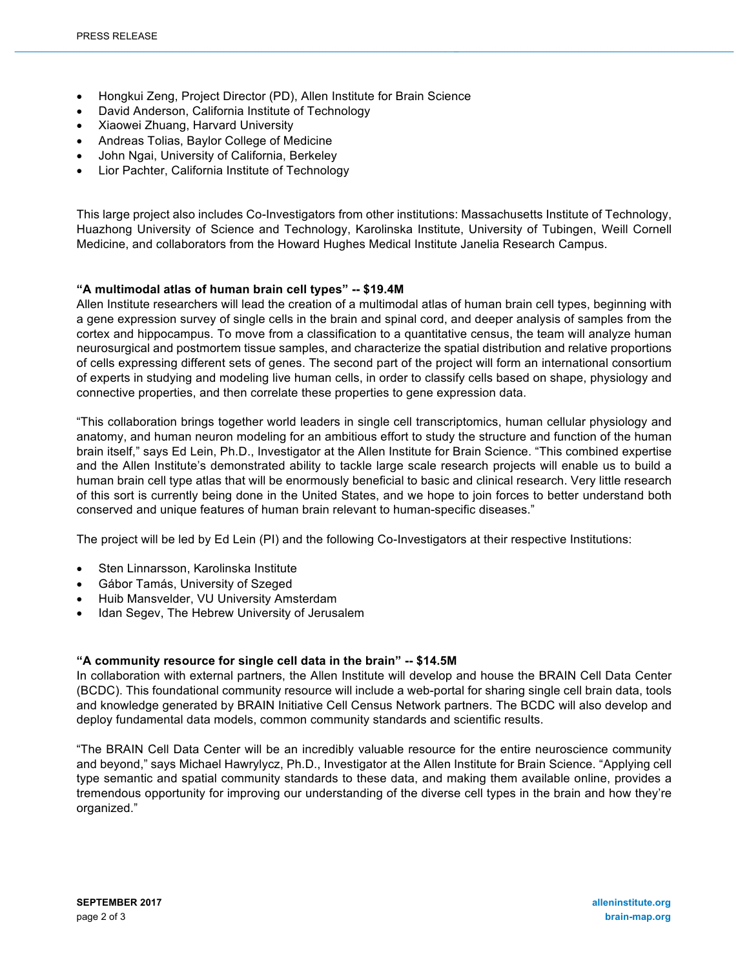- Hongkui Zeng, Project Director (PD), Allen Institute for Brain Science
- David Anderson, California Institute of Technology
- Xiaowei Zhuang, Harvard University
- Andreas Tolias, Baylor College of Medicine
- John Ngai, University of California, Berkeley
- Lior Pachter, California Institute of Technology

This large project also includes Co-Investigators from other institutions: Massachusetts Institute of Technology, Huazhong University of Science and Technology, Karolinska Institute, University of Tubingen, Weill Cornell Medicine, and collaborators from the Howard Hughes Medical Institute Janelia Research Campus.

## **"A multimodal atlas of human brain cell types" -- \$19.4M**

Allen Institute researchers will lead the creation of a multimodal atlas of human brain cell types, beginning with a gene expression survey of single cells in the brain and spinal cord, and deeper analysis of samples from the cortex and hippocampus. To move from a classification to a quantitative census, the team will analyze human neurosurgical and postmortem tissue samples, and characterize the spatial distribution and relative proportions of cells expressing different sets of genes. The second part of the project will form an international consortium of experts in studying and modeling live human cells, in order to classify cells based on shape, physiology and connective properties, and then correlate these properties to gene expression data.

"This collaboration brings together world leaders in single cell transcriptomics, human cellular physiology and anatomy, and human neuron modeling for an ambitious effort to study the structure and function of the human brain itself," says Ed Lein, Ph.D., Investigator at the Allen Institute for Brain Science. "This combined expertise and the Allen Institute's demonstrated ability to tackle large scale research projects will enable us to build a human brain cell type atlas that will be enormously beneficial to basic and clinical research. Very little research of this sort is currently being done in the United States, and we hope to join forces to better understand both conserved and unique features of human brain relevant to human-specific diseases."

The project will be led by Ed Lein (PI) and the following Co-Investigators at their respective Institutions:

- Sten Linnarsson, Karolinska Institute
- Gábor Tamás, University of Szeged
- Huib Mansvelder, VU University Amsterdam
- Idan Segev, The Hebrew University of Jerusalem

## **"A community resource for single cell data in the brain" -- \$14.5M**

In collaboration with external partners, the Allen Institute will develop and house the BRAIN Cell Data Center (BCDC). This foundational community resource will include a web-portal for sharing single cell brain data, tools and knowledge generated by BRAIN Initiative Cell Census Network partners. The BCDC will also develop and deploy fundamental data models, common community standards and scientific results.

"The BRAIN Cell Data Center will be an incredibly valuable resource for the entire neuroscience community and beyond," says Michael Hawrylycz, Ph.D., Investigator at the Allen Institute for Brain Science. "Applying cell type semantic and spatial community standards to these data, and making them available online, provides a tremendous opportunity for improving our understanding of the diverse cell types in the brain and how they're organized."